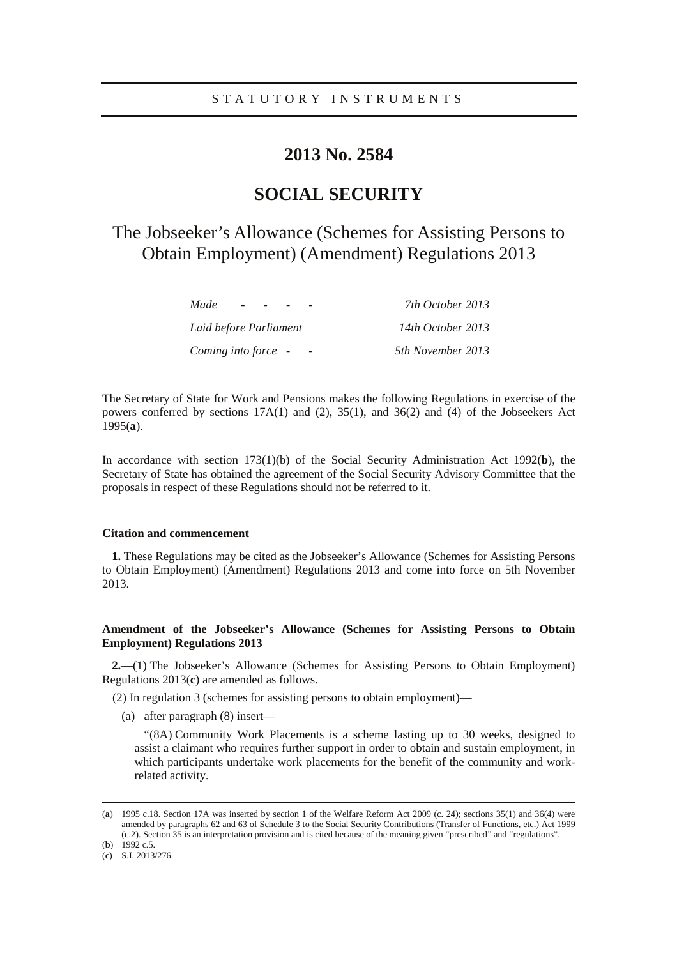## **2013 No. 2584**

# **SOCIAL SECURITY**

# The Jobseeker's Allowance (Schemes for Assisting Persons to Obtain Employment) (Amendment) Regulations 2013

| Made<br>$\overline{\phantom{a}}$ | 7th October 2013  |
|----------------------------------|-------------------|
| Laid before Parliament           | 14th October 2013 |
| Coming into force -              | 5th November 2013 |

The Secretary of State for Work and Pensions makes the following Regulations in exercise of the powers conferred by sections 17A(1) and (2), 35(1), and 36(2) and (4) of the Jobseekers Act 1995(**a**).

In accordance with section 173(1)(b) of the Social Security Administration Act 1992(**b**), the Secretary of State has obtained the agreement of the Social Security Advisory Committee that the proposals in respect of these Regulations should not be referred to it.

#### **Citation and commencement**

**1.** These Regulations may be cited as the Jobseeker's Allowance (Schemes for Assisting Persons to Obtain Employment) (Amendment) Regulations 2013 and come into force on 5th November 2013.

### **Amendment of the Jobseeker's Allowance (Schemes for Assisting Persons to Obtain Employment) Regulations 2013**

**2.**—(1) The Jobseeker's Allowance (Schemes for Assisting Persons to Obtain Employment) Regulations 2013(**c**) are amended as follows.

- (2) In regulation 3 (schemes for assisting persons to obtain employment)—
	- (a) after paragraph (8) insert—

"(8A) Community Work Placements is a scheme lasting up to 30 weeks, designed to assist a claimant who requires further support in order to obtain and sustain employment, in which participants undertake work placements for the benefit of the community and workrelated activity.

(**b**) 1992 c.5.

<u>.</u>

<sup>(</sup>**a**) 1995 c.18. Section 17A was inserted by section 1 of the Welfare Reform Act 2009 (c. 24); sections 35(1) and 36(4) were amended by paragraphs 62 and 63 of Schedule 3 to the Social Security Contributions (Transfer of Functions, etc.) Act 1999 (c.2). Section 35 is an interpretation provision and is cited because of the meaning given "prescribed" and "regulations".

<sup>(</sup>**c**) S.I. 2013/276.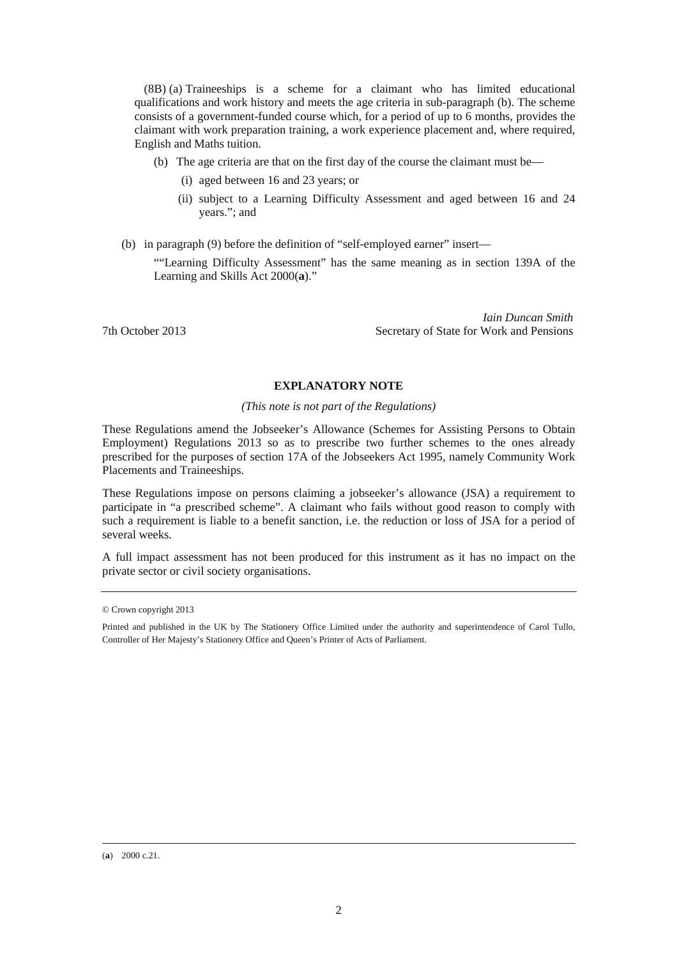(8B) (a) Traineeships is a scheme for a claimant who has limited educational qualifications and work history and meets the age criteria in sub-paragraph (b). The scheme consists of a government-funded course which, for a period of up to 6 months, provides the claimant with work preparation training, a work experience placement and, where required, English and Maths tuition.

- (b) The age criteria are that on the first day of the course the claimant must be—
	- (i) aged between 16 and 23 years; or
	- (ii) subject to a Learning Difficulty Assessment and aged between 16 and 24 years."; and
- (b) in paragraph (9) before the definition of "self-employed earner" insert—

""Learning Difficulty Assessment" has the same meaning as in section 139A of the Learning and Skills Act 2000(**a**)."

*Iain Duncan Smith*  7th October 2013 Secretary of State for Work and Pensions

## **EXPLANATORY NOTE**

#### *(This note is not part of the Regulations)*

These Regulations amend the Jobseeker's Allowance (Schemes for Assisting Persons to Obtain Employment) Regulations 2013 so as to prescribe two further schemes to the ones already prescribed for the purposes of section 17A of the Jobseekers Act 1995, namely Community Work Placements and Traineeships.

These Regulations impose on persons claiming a jobseeker's allowance (JSA) a requirement to participate in "a prescribed scheme". A claimant who fails without good reason to comply with such a requirement is liable to a benefit sanction, i.e. the reduction or loss of JSA for a period of several weeks.

A full impact assessment has not been produced for this instrument as it has no impact on the private sector or civil society organisations.

<u>.</u>

<sup>©</sup> Crown copyright 2013

Printed and published in the UK by The Stationery Office Limited under the authority and superintendence of Carol Tullo, Controller of Her Majesty's Stationery Office and Queen's Printer of Acts of Parliament.